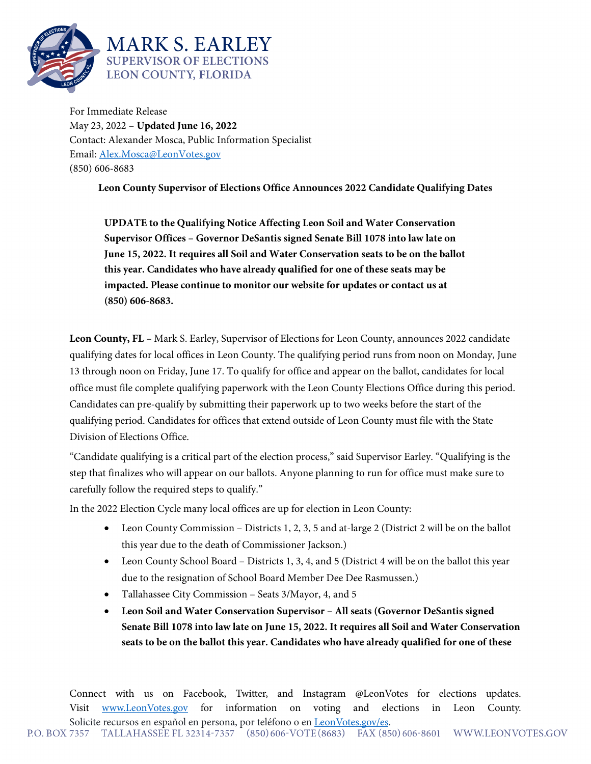

For Immediate Release May 23, 2022 – **Updated June 16, 2022** Contact: Alexander Mosca, Public Information Specialist Email: [Alex.Mosca@LeonVotes.gov](mailto:Alex.Mosca@LeonVotes.gov) (850) 606-8683

**Leon County Supervisor of Elections Office Announces 2022 Candidate Qualifying Dates**

**UPDATE to the Qualifying Notice Affecting Leon Soil and Water Conservation Supervisor Offices – Governor DeSantis signed Senate Bill 1078 into law late on June 15, 2022. It requires all Soil and Water Conservation seats to be on the ballot this year. Candidates who have already qualified for one of these seats may be impacted. Please continue to monitor our website for updates or contact us at (850) 606-8683.**

**Leon County, FL** – Mark S. Earley, Supervisor of Elections for Leon County, announces 2022 candidate qualifying dates for local offices in Leon County. The qualifying period runs from noon on Monday, June 13 through noon on Friday, June 17. To qualify for office and appear on the ballot, candidates for local office must file complete qualifying paperwork with the Leon County Elections Office during this period. Candidates can pre-qualify by submitting their paperwork up to two weeks before the start of the qualifying period. Candidates for offices that extend outside of Leon County must file with the State Division of Elections Office.

"Candidate qualifying is a critical part of the election process," said Supervisor Earley. "Qualifying is the step that finalizes who will appear on our ballots. Anyone planning to run for office must make sure to carefully follow the required steps to qualify."

In the 2022 Election Cycle many local offices are up for election in Leon County:

- Leon County Commission Districts 1, 2, 3, 5 and at-large 2 (District 2 will be on the ballot this year due to the death of Commissioner Jackson.)
- Leon County School Board Districts 1, 3, 4, and 5 (District 4 will be on the ballot this year due to the resignation of School Board Member Dee Dee Rasmussen.)
- Tallahassee City Commission Seats 3/Mayor, 4, and 5
- **Leon Soil and Water Conservation Supervisor – All seats (Governor DeSantis signed Senate Bill 1078 into law late on June 15, 2022. It requires all Soil and Water Conservation seats to be on the ballot this year. Candidates who have already qualified for one of these**

Connect with us on Facebook, Twitter, and Instagram @LeonVotes for elections updates. Visit [www.LeonVotes.gov](http://www.leonvotes.gov/) for information on voting and elections in Leon County. Solicite recursos en español en persona, por teléfono o en <u>LeonVotes.gov/es</u>.<br>P.O. BOX 7357 TALLAHASSEE FL 32314-7357 (850) 606-VOTE(8683) FAX (850) 606-8601 WWW.LEONVOTES.GOV